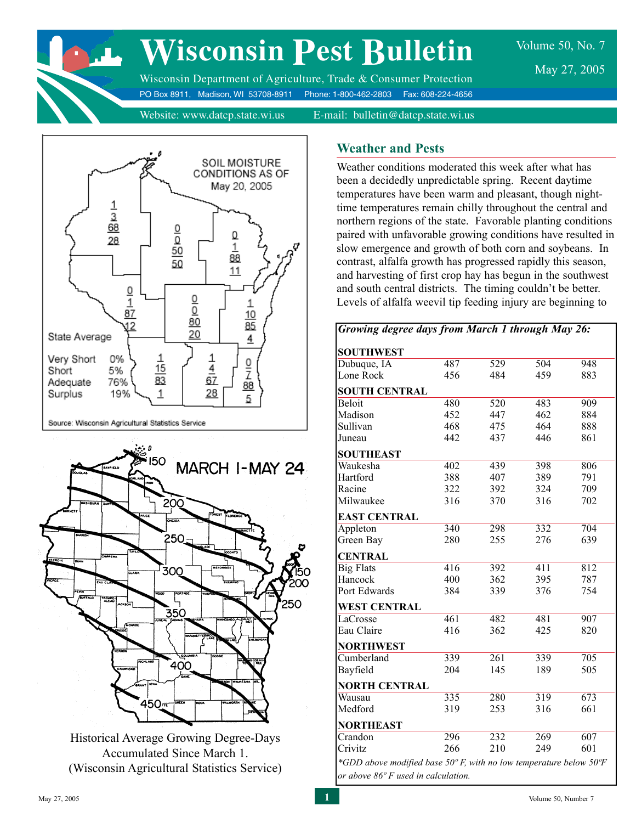

# **Wisconsin Pest Bulletin**

Volume 50, No. 7 May 27, 2005

Wisconsin Department of Agriculture, Trade & Consumer Protection PO Box 8911, Madison, WI 53708-8911 Phone: 1-800-462-2803 Fax: 608-224-4656

Website: www.datcp.state.wi.us E-mail: bulletin@datcp.state.wi.us



> Historical Average Growing Degree-Days Accumulated Since March 1. (Wisconsin Agricultural Statistics Service)

# **Weather and Pests**

Weather conditions moderated this week after what has been a decidedly unpredictable spring. Recent daytime temperatures have been warm and pleasant, though nighttime temperatures remain chilly throughout the central and northern regions of the state. Favorable planting conditions paired with unfavorable growing conditions have resulted in slow emergence and growth of both corn and soybeans. In contrast, alfalfa growth has progressed rapidly this season, and harvesting of first crop hay has begun in the southwest and south central districts. The timing couldn't be better. Levels of alfalfa weevil tip feeding injury are beginning to

| Growing degree days from March 1 through May 26:                                      |     |     |     |                  |
|---------------------------------------------------------------------------------------|-----|-----|-----|------------------|
| <b>SOUTHWEST</b>                                                                      |     |     |     |                  |
| Dubuque, IA                                                                           | 487 | 529 | 504 | 948              |
| Lone Rock                                                                             | 456 | 484 | 459 | 883              |
| <b>SOUTH CENTRAL</b>                                                                  |     |     |     |                  |
| <b>Beloit</b>                                                                         | 480 | 520 | 483 | 909              |
| Madison                                                                               | 452 | 447 | 462 | 884              |
| Sullivan                                                                              | 468 | 475 | 464 | 888              |
| Juneau                                                                                | 442 | 437 | 446 | 861              |
| <b>SOUTHEAST</b>                                                                      |     |     |     |                  |
| Waukesha                                                                              | 402 | 439 | 398 | 806              |
| Hartford                                                                              | 388 | 407 | 389 | 791              |
| Racine                                                                                | 322 | 392 | 324 | 709              |
| Milwaukee                                                                             | 316 | 370 | 316 | 702              |
| <b>EAST CENTRAL</b>                                                                   |     |     |     |                  |
| Appleton                                                                              | 340 | 298 | 332 | 704              |
| Green Bay                                                                             | 280 | 255 | 276 | 639              |
| <b>CENTRAL</b>                                                                        |     |     |     |                  |
| <b>Big Flats</b>                                                                      | 416 | 392 | 411 | $\overline{812}$ |
| Hancock                                                                               | 400 | 362 | 395 | 787              |
| Port Edwards                                                                          | 384 | 339 | 376 | 754              |
| <b>WEST CENTRAL</b>                                                                   |     |     |     |                  |
| LaCrosse                                                                              | 461 | 482 | 481 | 907              |
| Eau Claire                                                                            | 416 | 362 | 425 | 820              |
| <b>NORTHWEST</b>                                                                      |     |     |     |                  |
| Cumberland                                                                            | 339 | 261 | 339 | 705              |
| Bayfield                                                                              | 204 | 145 | 189 | 505              |
| <b>NORTH CENTRAL</b>                                                                  |     |     |     |                  |
| Wausau                                                                                | 335 | 280 | 319 | 673              |
| Medford                                                                               | 319 | 253 | 316 | 661              |
| <b>NORTHEAST</b>                                                                      |     |     |     |                  |
| Crandon                                                                               | 296 | 232 | 269 | 607              |
| Crivitz                                                                               | 266 | 210 | 249 | 601              |
| *GDD above modified base $50^{\circ}$ F, with no low temperature below $50^{\circ}$ F |     |     |     |                  |
| or above 86° F used in calculation.                                                   |     |     |     |                  |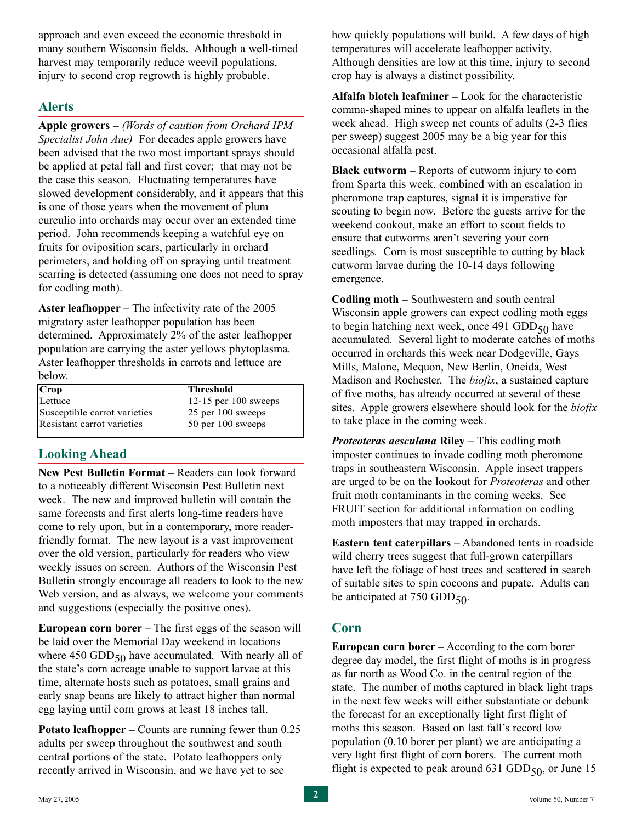approach and even exceed the economic threshold in many southern Wisconsin fields. Although a well-timed harvest may temporarily reduce weevil populations, injury to second crop regrowth is highly probable.

# **Alerts**

**Apple growers –** *(Words of caution from Orchard IPM Specialist John Aue)* For decades apple growers have been advised that the two most important sprays should be applied at petal fall and first cover; that may not be the case this season. Fluctuating temperatures have slowed development considerably, and it appears that this is one of those years when the movement of plum curculio into orchards may occur over an extended time period. John recommends keeping a watchful eye on fruits for oviposition scars, particularly in orchard perimeters, and holding off on spraying until treatment scarring is detected (assuming one does not need to spray for codling moth).

**Aster leafhopper –** The infectivity rate of the 2005 migratory aster leafhopper population has been determined. Approximately 2% of the aster leafhopper population are carrying the aster yellows phytoplasma. Aster leafhopper thresholds in carrots and lettuce are below.

| Crop                         | <b>Threshold</b>       |
|------------------------------|------------------------|
| Lettuce                      | 12-15 per $100$ sweeps |
| Susceptible carrot varieties | 25 per 100 sweeps      |
| Resistant carrot varieties   | 50 per 100 sweeps      |

# **Looking Ahead**

**New Pest Bulletin Format –** Readers can look forward to a noticeably different Wisconsin Pest Bulletin next week. The new and improved bulletin will contain the same forecasts and first alerts long-time readers have come to rely upon, but in a contemporary, more readerfriendly format. The new layout is a vast improvement over the old version, particularly for readers who view weekly issues on screen. Authors of the Wisconsin Pest Bulletin strongly encourage all readers to look to the new Web version, and as always, we welcome your comments and suggestions (especially the positive ones).

**European corn borer –** The first eggs of the season will be laid over the Memorial Day weekend in locations where 450 GDD $_{50}$  have accumulated. With nearly all of the state's corn acreage unable to support larvae at this time, alternate hosts such as potatoes, small grains and early snap beans are likely to attract higher than normal egg laying until corn grows at least 18 inches tall.

**Potato leafhopper – Counts are running fewer than 0.25** adults per sweep throughout the southwest and south central portions of the state. Potato leafhoppers only recently arrived in Wisconsin, and we have yet to see

how quickly populations will build. A few days of high temperatures will accelerate leafhopper activity. Although densities are low at this time, injury to second crop hay is always a distinct possibility.

**Alfalfa blotch leafminer –** Look for the characteristic comma-shaped mines to appear on alfalfa leaflets in the week ahead. High sweep net counts of adults (2-3 flies per sweep) suggest 2005 may be a big year for this occasional alfalfa pest.

**Black cutworm –** Reports of cutworm injury to corn from Sparta this week, combined with an escalation in pheromone trap captures, signal it is imperative for scouting to begin now. Before the guests arrive for the weekend cookout, make an effort to scout fields to ensure that cutworms aren't severing your corn seedlings. Corn is most susceptible to cutting by black cutworm larvae during the 10-14 days following emergence.

**Codling moth –** Southwestern and south central Wisconsin apple growers can expect codling moth eggs to begin hatching next week, once 491 GDD $_{50}$  have accumulated. Several light to moderate catches of moths occurred in orchards this week near Dodgeville, Gays Mills, Malone, Mequon, New Berlin, Oneida, West Madison and Rochester. The *biofix*, a sustained capture of five moths, has already occurred at several of these sites. Apple growers elsewhere should look for the *biofix* to take place in the coming week.

*Proteoteras aesculana* **Riley –** This codling moth imposter continues to invade codling moth pheromone traps in southeastern Wisconsin. Apple insect trappers are urged to be on the lookout for *Proteoteras* and other fruit moth contaminants in the coming weeks. See FRUIT section for additional information on codling moth imposters that may trapped in orchards.

**Eastern tent caterpillars –** Abandoned tents in roadside wild cherry trees suggest that full-grown caterpillars have left the foliage of host trees and scattered in search of suitable sites to spin cocoons and pupate. Adults can be anticipated at 750 GDD $_{50}$ .

# **Corn**

**European corn borer –** According to the corn borer degree day model, the first flight of moths is in progress as far north as Wood Co. in the central region of the state. The number of moths captured in black light traps in the next few weeks will either substantiate or debunk the forecast for an exceptionally light first flight of moths this season. Based on last fall's record low population (0.10 borer per plant) we are anticipating a very light first flight of corn borers. The current moth flight is expected to peak around  $631$  GDD<sub>50</sub>, or June 15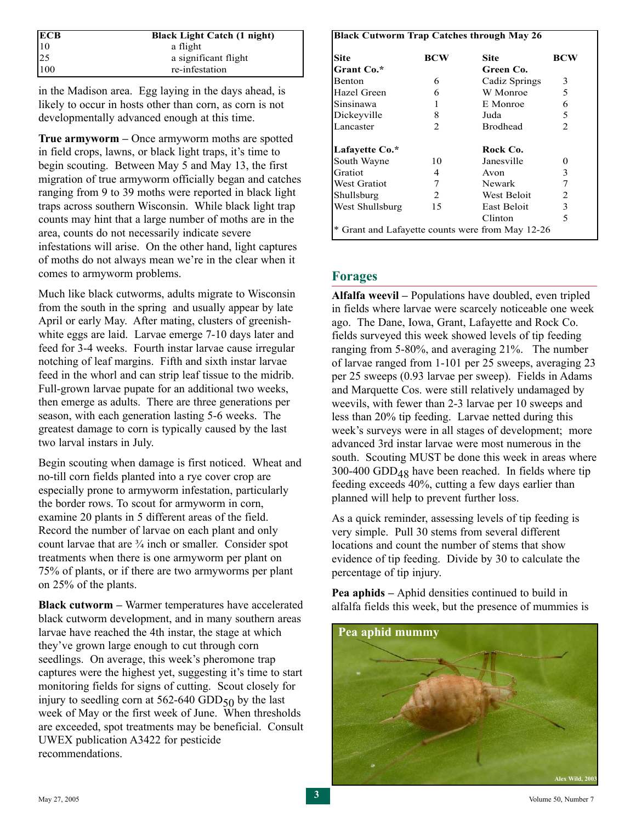|                                                            | <b>Black Light Catch (1 night)</b> |
|------------------------------------------------------------|------------------------------------|
| $\begin{array}{l} \n\textbf{ECB} \\ 10 \\ 25\n\end{array}$ | a flight                           |
|                                                            | a significant flight               |
| 100                                                        | re-infestation                     |

in the Madison area. Egg laying in the days ahead, is likely to occur in hosts other than corn, as corn is not developmentally advanced enough at this time.

**True armyworm –** Once armyworm moths are spotted in field crops, lawns, or black light traps, it's time to begin scouting. Between May 5 and May 13, the first migration of true armyworm officially began and catches ranging from 9 to 39 moths were reported in black light traps across southern Wisconsin. While black light trap counts may hint that a large number of moths are in the area, counts do not necessarily indicate severe infestations will arise. On the other hand, light captures of moths do not always mean we're in the clear when it comes to armyworm problems.

Much like black cutworms, adults migrate to Wisconsin from the south in the spring and usually appear by late April or early May. After mating, clusters of greenishwhite eggs are laid. Larvae emerge 7-10 days later and feed for 3-4 weeks. Fourth instar larvae cause irregular notching of leaf margins. Fifth and sixth instar larvae feed in the whorl and can strip leaf tissue to the midrib. Full-grown larvae pupate for an additional two weeks, then emerge as adults. There are three generations per season, with each generation lasting 5-6 weeks. The greatest damage to corn is typically caused by the last two larval instars in July.

Begin scouting when damage is first noticed. Wheat and no-till corn fields planted into a rye cover crop are especially prone to armyworm infestation, particularly the border rows. To scout for armyworm in corn, examine 20 plants in 5 different areas of the field. Record the number of larvae on each plant and only count larvae that are  $\frac{3}{4}$  inch or smaller. Consider spot treatments when there is one armyworm per plant on 75% of plants, or if there are two armyworms per plant on 25% of the plants.

**Black cutworm –** Warmer temperatures have accelerated black cutworm development, and in many southern areas larvae have reached the 4th instar, the stage at which they've grown large enough to cut through corn seedlings. On average, this week's pheromone trap captures were the highest yet, suggesting it's time to start monitoring fields for signs of cutting. Scout closely for injury to seedling corn at  $562-640$  GDD $_{50}$  by the last week of May or the first week of June. When thresholds are exceeded, spot treatments may be beneficial. Consult UWEX publication A3422 for pesticide recommendations.

#### **Black Cutworm Trap Catches through May 26**

| <b>Site</b>         | BCW | <b>Site</b>                                      | BCW            |
|---------------------|-----|--------------------------------------------------|----------------|
| Grant Co.*          |     | Green Co.                                        |                |
| <b>Benton</b>       | 6   | Cadiz Springs                                    | 3              |
| Hazel Green         | 6   | W Monroe                                         | 5              |
| Sinsinawa           | 1   | E Monroe                                         | 6              |
| Dickeyville         | 8   | Juda                                             | 5              |
| Lancaster           | 2   | <b>Brodhead</b>                                  | $\mathfrak{D}$ |
| Lafayette Co.*      |     | Rock Co.                                         |                |
| South Wayne         | 10  | Janesville                                       | 0              |
| Gratiot             | 4   | Avon                                             | 3              |
| <b>West Gratiot</b> | 7   | Newark                                           | 7              |
| Shullsburg          | 2   | West Beloit                                      | 2              |
| West Shullsburg     | 15  | East Beloit                                      | 3              |
|                     |     | Clinton                                          | 5              |
|                     |     | * Grant and Lafayette counts were from May 12-26 |                |

# **Forages**

**Alfalfa weevil –** Populations have doubled, even tripled in fields where larvae were scarcely noticeable one week ago. The Dane, Iowa, Grant, Lafayette and Rock Co. fields surveyed this week showed levels of tip feeding ranging from 5-80%, and averaging 21%. The number of larvae ranged from 1-101 per 25 sweeps, averaging 23 per 25 sweeps (0.93 larvae per sweep). Fields in Adams and Marquette Cos. were still relatively undamaged by weevils, with fewer than 2-3 larvae per 10 sweeps and less than 20% tip feeding. Larvae netted during this week's surveys were in all stages of development; more advanced 3rd instar larvae were most numerous in the south. Scouting MUST be done this week in areas where 300-400 GDD $_{48}$  have been reached. In fields where tip feeding exceeds 40%, cutting a few days earlier than planned will help to prevent further loss.

As a quick reminder, assessing levels of tip feeding is very simple. Pull 30 stems from several different locations and count the number of stems that show evidence of tip feeding. Divide by 30 to calculate the percentage of tip injury.

**Pea aphids –** Aphid densities continued to build in alfalfa fields this week, but the presence of mummies is

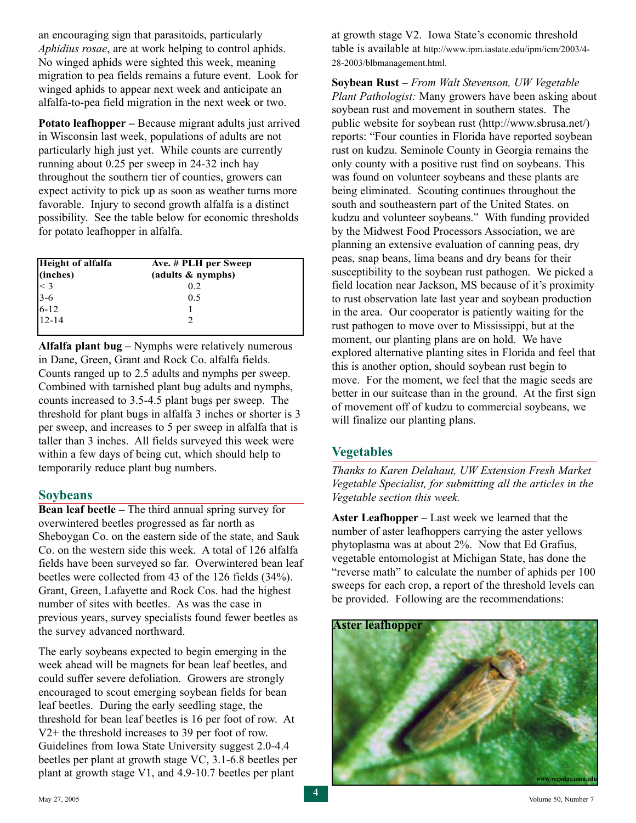an encouraging sign that parasitoids, particularly *Aphidius rosae*, are at work helping to control aphids. No winged aphids were sighted this week, meaning migration to pea fields remains a future event. Look for winged aphids to appear next week and anticipate an alfalfa-to-pea field migration in the next week or two.

**Potato leafhopper –** Because migrant adults just arrived in Wisconsin last week, populations of adults are not particularly high just yet. While counts are currently running about 0.25 per sweep in 24-32 inch hay throughout the southern tier of counties, growers can expect activity to pick up as soon as weather turns more favorable. Injury to second growth alfalfa is a distinct possibility. See the table below for economic thresholds for potato leafhopper in alfalfa.

| <b>Height of alfalfa</b>                                  | Ave. # PLH per Sweep |  |
|-----------------------------------------------------------|----------------------|--|
| (inches)                                                  | (adults & nymphs)    |  |
|                                                           | 0.2                  |  |
|                                                           | 0.5                  |  |
| $\begin{array}{c} 2 & 3 \\ 3 & -6 \\ 6 & -12 \end{array}$ |                      |  |
| $12 - 14$                                                 |                      |  |

**Alfalfa plant bug –** Nymphs were relatively numerous in Dane, Green, Grant and Rock Co. alfalfa fields. Counts ranged up to 2.5 adults and nymphs per sweep. Combined with tarnished plant bug adults and nymphs, counts increased to 3.5-4.5 plant bugs per sweep. The threshold for plant bugs in alfalfa 3 inches or shorter is 3 per sweep, and increases to 5 per sweep in alfalfa that is taller than 3 inches. All fields surveyed this week were within a few days of being cut, which should help to temporarily reduce plant bug numbers.

### **Soybeans**

**Bean leaf beetle –** The third annual spring survey for overwintered beetles progressed as far north as Sheboygan Co. on the eastern side of the state, and Sauk Co. on the western side this week. A total of 126 alfalfa fields have been surveyed so far. Overwintered bean leaf beetles were collected from 43 of the 126 fields (34%). Grant, Green, Lafayette and Rock Cos. had the highest number of sites with beetles. As was the case in previous years, survey specialists found fewer beetles as the survey advanced northward.

The early soybeans expected to begin emerging in the week ahead will be magnets for bean leaf beetles, and could suffer severe defoliation. Growers are strongly encouraged to scout emerging soybean fields for bean leaf beetles. During the early seedling stage, the threshold for bean leaf beetles is 16 per foot of row. At V2+ the threshold increases to 39 per foot of row. Guidelines from Iowa State University suggest 2.0-4.4 beetles per plant at growth stage VC, 3.1-6.8 beetles per plant at growth stage V1, and 4.9-10.7 beetles per plant

at growth stage V2. Iowa State's economic threshold table is available at http://www.ipm.iastate.edu/ipm/icm/2003/4- 28-2003/blbmanagement.html.

**Soybean Rust –** *From Walt Stevenson, UW Vegetable Plant Pathologist:* Many growers have been asking about soybean rust and movement in southern states. The public website for soybean rust (http://www.sbrusa.net/) reports: "Four counties in Florida have reported soybean rust on kudzu. Seminole County in Georgia remains the only county with a positive rust find on soybeans. This was found on volunteer soybeans and these plants are being eliminated. Scouting continues throughout the south and southeastern part of the United States. on kudzu and volunteer soybeans." With funding provided by the Midwest Food Processors Association, we are planning an extensive evaluation of canning peas, dry peas, snap beans, lima beans and dry beans for their susceptibility to the soybean rust pathogen. We picked a field location near Jackson, MS because of it's proximity to rust observation late last year and soybean production in the area. Our cooperator is patiently waiting for the rust pathogen to move over to Mississippi, but at the moment, our planting plans are on hold. We have explored alternative planting sites in Florida and feel that this is another option, should soybean rust begin to move. For the moment, we feel that the magic seeds are better in our suitcase than in the ground. At the first sign of movement off of kudzu to commercial soybeans, we will finalize our planting plans.

# **Vegetables**

*Thanks to Karen Delahaut, UW Extension Fresh Market Vegetable Specialist, for submitting all the articles in the Vegetable section this week.*

**Aster Leafhopper –** Last week we learned that the number of aster leafhoppers carrying the aster yellows phytoplasma was at about 2%. Now that Ed Grafius, vegetable entomologist at Michigan State, has done the "reverse math" to calculate the number of aphids per 100 sweeps for each crop, a report of the threshold levels can be provided. Following are the recommendations:

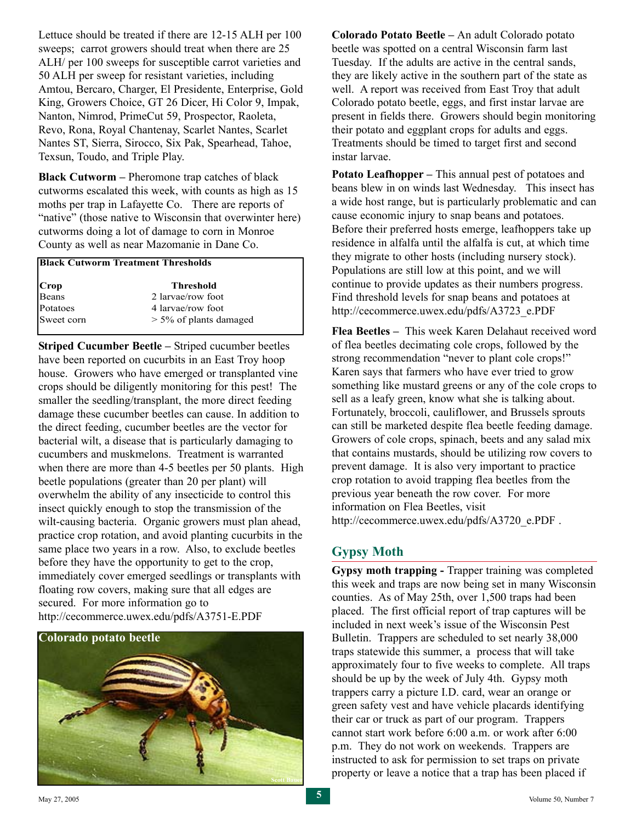Lettuce should be treated if there are 12-15 ALH per 100 sweeps; carrot growers should treat when there are 25 ALH/ per 100 sweeps for susceptible carrot varieties and 50 ALH per sweep for resistant varieties, including Amtou, Bercaro, Charger, El Presidente, Enterprise, Gold King, Growers Choice, GT 26 Dicer, Hi Color 9, Impak, Nanton, Nimrod, PrimeCut 59, Prospector, Raoleta, Revo, Rona, Royal Chantenay, Scarlet Nantes, Scarlet Nantes ST, Sierra, Sirocco, Six Pak, Spearhead, Tahoe, Texsun, Toudo, and Triple Play.

**Black Cutworm –** Pheromone trap catches of black cutworms escalated this week, with counts as high as 15 moths per trap in Lafayette Co. There are reports of "native" (those native to Wisconsin that overwinter here) cutworms doing a lot of damage to corn in Monroe County as well as near Mazomanie in Dane Co.

#### **Black Cutworm Treatment Thresholds**

| Crop       | Threshold                 |
|------------|---------------------------|
| Beans      | 2 larvae/row foot         |
| Potatoes   | 4 larvae/row foot         |
| Sweet corn | $> 5\%$ of plants damaged |

**Striped Cucumber Beetle –** Striped cucumber beetles have been reported on cucurbits in an East Troy hoop house. Growers who have emerged or transplanted vine crops should be diligently monitoring for this pest! The smaller the seedling/transplant, the more direct feeding damage these cucumber beetles can cause. In addition to the direct feeding, cucumber beetles are the vector for bacterial wilt, a disease that is particularly damaging to cucumbers and muskmelons. Treatment is warranted when there are more than 4-5 beetles per 50 plants. High beetle populations (greater than 20 per plant) will overwhelm the ability of any insecticide to control this insect quickly enough to stop the transmission of the wilt-causing bacteria. Organic growers must plan ahead, practice crop rotation, and avoid planting cucurbits in the same place two years in a row. Also, to exclude beetles before they have the opportunity to get to the crop, immediately cover emerged seedlings or transplants with floating row covers, making sure that all edges are secured. For more information go to http://cecommerce.uwex.edu/pdfs/A3751-E.PDF



**Colorado Potato Beetle –** An adult Colorado potato beetle was spotted on a central Wisconsin farm last Tuesday. If the adults are active in the central sands, they are likely active in the southern part of the state as well. A report was received from East Troy that adult Colorado potato beetle, eggs, and first instar larvae are present in fields there. Growers should begin monitoring their potato and eggplant crops for adults and eggs. Treatments should be timed to target first and second instar larvae.

**Potato Leafhopper –** This annual pest of potatoes and beans blew in on winds last Wednesday. This insect has a wide host range, but is particularly problematic and can cause economic injury to snap beans and potatoes. Before their preferred hosts emerge, leafhoppers take up residence in alfalfa until the alfalfa is cut, at which time they migrate to other hosts (including nursery stock). Populations are still low at this point, and we will continue to provide updates as their numbers progress. Find threshold levels for snap beans and potatoes at http://cecommerce.uwex.edu/pdfs/A3723\_e.PDF

**Flea Beetles –** This week Karen Delahaut received word of flea beetles decimating cole crops, followed by the strong recommendation "never to plant cole crops!" Karen says that farmers who have ever tried to grow something like mustard greens or any of the cole crops to sell as a leafy green, know what she is talking about. Fortunately, broccoli, cauliflower, and Brussels sprouts can still be marketed despite flea beetle feeding damage. Growers of cole crops, spinach, beets and any salad mix that contains mustards, should be utilizing row covers to prevent damage. It is also very important to practice crop rotation to avoid trapping flea beetles from the previous year beneath the row cover. For more information on Flea Beetles, visit http://cecommerce.uwex.edu/pdfs/A3720\_e.PDF.

# **Gypsy Moth**

**Gypsy moth trapping -** Trapper training was completed this week and traps are now being set in many Wisconsin counties. As of May 25th, over 1,500 traps had been placed. The first official report of trap captures will be included in next week's issue of the Wisconsin Pest Bulletin. Trappers are scheduled to set nearly 38,000 traps statewide this summer, a process that will take approximately four to five weeks to complete. All traps should be up by the week of July 4th. Gypsy moth trappers carry a picture I.D. card, wear an orange or green safety vest and have vehicle placards identifying their car or truck as part of our program. Trappers cannot start work before 6:00 a.m. or work after 6:00 p.m. They do not work on weekends. Trappers are instructed to ask for permission to set traps on private property or leave a notice that a trap has been placed if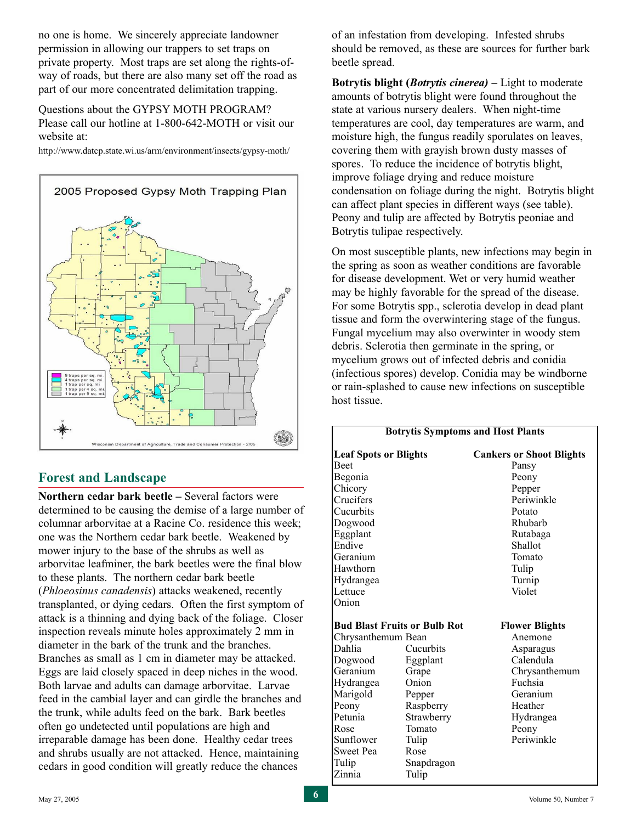no one is home. We sincerely appreciate landowner permission in allowing our trappers to set traps on private property. Most traps are set along the rights-ofway of roads, but there are also many set off the road as part of our more concentrated delimitation trapping.

Questions about the GYPSY MOTH PROGRAM? Please call our hotline at 1-800-642-MOTH or visit our website at:

http://www.datcp.state.wi.us/arm/environment/insects/gypsy-moth/



### **Forest and Landscape**

**Northern cedar bark beetle –** Several factors were determined to be causing the demise of a large number of columnar arborvitae at a Racine Co. residence this week; one was the Northern cedar bark beetle. Weakened by mower injury to the base of the shrubs as well as arborvitae leafminer, the bark beetles were the final blow to these plants. The northern cedar bark beetle (*Phloeosinus canadensis*) attacks weakened, recently transplanted, or dying cedars. Often the first symptom of attack is a thinning and dying back of the foliage. Closer inspection reveals minute holes approximately 2 mm in diameter in the bark of the trunk and the branches. Branches as small as 1 cm in diameter may be attacked. Eggs are laid closely spaced in deep niches in the wood. Both larvae and adults can damage arborvitae. Larvae feed in the cambial layer and can girdle the branches and the trunk, while adults feed on the bark. Bark beetles often go undetected until populations are high and irreparable damage has been done. Healthy cedar trees and shrubs usually are not attacked. Hence, maintaining cedars in good condition will greatly reduce the chances

of an infestation from developing. Infested shrubs should be removed, as these are sources for further bark beetle spread.

**Botrytis blight (***Botrytis cinerea)* **–** Light to moderate amounts of botrytis blight were found throughout the state at various nursery dealers. When night-time temperatures are cool, day temperatures are warm, and moisture high, the fungus readily sporulates on leaves, covering them with grayish brown dusty masses of spores. To reduce the incidence of botrytis blight, improve foliage drying and reduce moisture condensation on foliage during the night. Botrytis blight can affect plant species in different ways (see table). Peony and tulip are affected by Botrytis peoniae and Botrytis tulipae respectively.

On most susceptible plants, new infections may begin in the spring as soon as weather conditions are favorable for disease development. Wet or very humid weather may be highly favorable for the spread of the disease. For some Botrytis spp., sclerotia develop in dead plant tissue and form the overwintering stage of the fungus. Fungal mycelium may also overwinter in woody stem debris. Sclerotia then germinate in the spring, or mycelium grows out of infected debris and conidia (infectious spores) develop. Conidia may be windborne or rain-splashed to cause new infections on susceptible host tissue.

|                                     |            | <b>Botrytis Symptoms and Host Plants</b> |
|-------------------------------------|------------|------------------------------------------|
| <b>Leaf Spots or Blights</b>        |            | <b>Cankers or Shoot Blights</b>          |
| Beet                                |            | Pansy                                    |
| Begonia                             |            | Peony                                    |
| Chicory                             |            | Pepper                                   |
| Crucifers                           |            | Periwinkle                               |
| Cucurbits                           |            | Potato                                   |
| Dogwood                             |            | Rhubarb                                  |
| Eggplant                            |            | Rutabaga                                 |
| Endive                              |            | Shallot                                  |
| Geranium                            |            | Tomato                                   |
| Hawthorn                            |            | Tulip                                    |
| Hydrangea                           |            | Turnip                                   |
| Lettuce                             |            | Violet                                   |
| Onion                               |            |                                          |
| <b>Bud Blast Fruits or Bulb Rot</b> |            | <b>Flower Blights</b>                    |
| Chrysanthemum Bean                  |            | Anemone                                  |
| Dahlia                              | Cucurbits  | Asparagus                                |
| Dogwood                             | Eggplant   | Calendula                                |
| Geranium                            | Grape      | Chrysanthemum                            |
| Hydrangea                           | Onion      | Fuchsia                                  |
| Marigold                            | Pepper     | Geranium                                 |
| Peony                               | Raspberry  | Heather                                  |
| Petunia                             | Strawberry | Hydrangea                                |
| Rose                                | Tomato     | Peony                                    |
| Sunflower                           | Tulip      | Periwinkle                               |
| Sweet Pea                           | Rose       |                                          |
| Tulip                               | Snapdragon |                                          |
| Zinnia                              | Tulip      |                                          |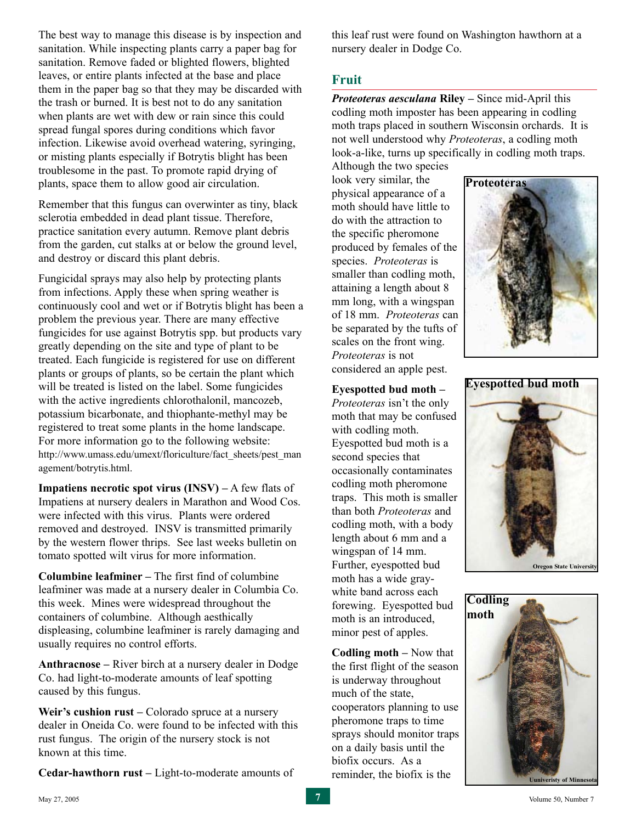The best way to manage this disease is by inspection and sanitation. While inspecting plants carry a paper bag for sanitation. Remove faded or blighted flowers, blighted leaves, or entire plants infected at the base and place them in the paper bag so that they may be discarded with the trash or burned. It is best not to do any sanitation when plants are wet with dew or rain since this could spread fungal spores during conditions which favor infection. Likewise avoid overhead watering, syringing, or misting plants especially if Botrytis blight has been troublesome in the past. To promote rapid drying of plants, space them to allow good air circulation.

Remember that this fungus can overwinter as tiny, black sclerotia embedded in dead plant tissue. Therefore, practice sanitation every autumn. Remove plant debris from the garden, cut stalks at or below the ground level, and destroy or discard this plant debris.

Fungicidal sprays may also help by protecting plants from infections. Apply these when spring weather is continuously cool and wet or if Botrytis blight has been a problem the previous year. There are many effective fungicides for use against Botrytis spp. but products vary greatly depending on the site and type of plant to be treated. Each fungicide is registered for use on different plants or groups of plants, so be certain the plant which will be treated is listed on the label. Some fungicides with the active ingredients chlorothalonil, mancozeb, potassium bicarbonate, and thiophante-methyl may be registered to treat some plants in the home landscape. For more information go to the following website: http://www.umass.edu/umext/floriculture/fact\_sheets/pest\_man agement/botrytis.html.

**Impatiens necrotic spot virus (INSV) –** A few flats of Impatiens at nursery dealers in Marathon and Wood Cos. were infected with this virus. Plants were ordered removed and destroyed. INSV is transmitted primarily by the western flower thrips. See last weeks bulletin on tomato spotted wilt virus for more information.

**Columbine leafminer –** The first find of columbine leafminer was made at a nursery dealer in Columbia Co. this week. Mines were widespread throughout the containers of columbine. Although aesthically displeasing, columbine leafminer is rarely damaging and usually requires no control efforts.

**Anthracnose –** River birch at a nursery dealer in Dodge Co. had light-to-moderate amounts of leaf spotting caused by this fungus.

Weir's cushion rust – Colorado spruce at a nursery dealer in Oneida Co. were found to be infected with this rust fungus. The origin of the nursery stock is not known at this time.

**Cedar-hawthorn rust –** Light-to-moderate amounts of

this leaf rust were found on Washington hawthorn at a nursery dealer in Dodge Co.

# **Fruit**

*Proteoteras aesculana* **Riley –** Since mid-April this codling moth imposter has been appearing in codling moth traps placed in southern Wisconsin orchards. It is not well understood why *Proteoteras*, a codling moth look-a-like, turns up specifically in codling moth traps.

Although the two species look very similar, the physical appearance of a moth should have little to do with the attraction to the specific pheromone produced by females of the species. *Proteoteras* is smaller than codling moth, attaining a length about 8 mm long, with a wingspan of 18 mm. *Proteoteras* can be separated by the tufts of scales on the front wing. *Proteoteras* is not considered an apple pest.



**Eyespotted bud moth –**

*Proteoteras* isn't the only moth that may be confused with codling moth. Eyespotted bud moth is a second species that occasionally contaminates codling moth pheromone traps. This moth is smaller than both *Proteoteras* and codling moth, with a body length about 6 mm and a wingspan of 14 mm. Further, eyespotted bud moth has a wide graywhite band across each forewing. Eyespotted bud moth is an introduced, minor pest of apples.

**Codling moth –** Now that the first flight of the season is underway throughout much of the state, cooperators planning to use pheromone traps to time sprays should monitor traps on a daily basis until the biofix occurs. As a reminder, the biofix is the





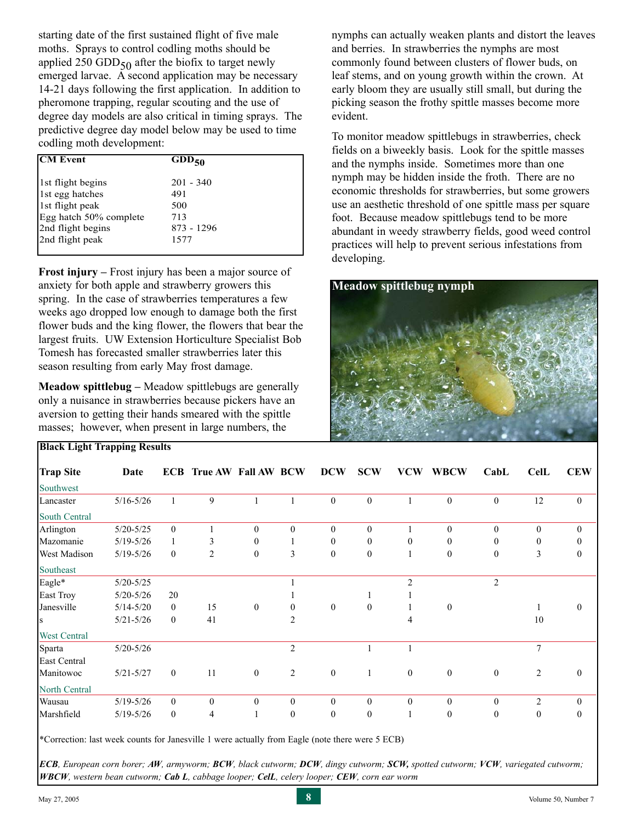starting date of the first sustained flight of five male moths. Sprays to control codling moths should be applied 250 GDD $_{50}$  after the biofix to target newly emerged larvae. A second application may be necessary 14-21 days following the first application. In addition to pheromone trapping, regular scouting and the use of degree day models are also critical in timing sprays. The predictive degree day model below may be used to time codling moth development:

| <b>CM Event</b>        | $GDD_{50}$  |
|------------------------|-------------|
| 1st flight begins      | $201 - 340$ |
| 1st egg hatches        | 491         |
| 1st flight peak        | 500         |
| Egg hatch 50% complete | 713         |
| 2nd flight begins      | 873 - 1296  |
| 2nd flight peak        | 1577        |
|                        |             |

**Frost injury –** Frost injury has been a major source of anxiety for both apple and strawberry growers this spring. In the case of strawberries temperatures a few weeks ago dropped low enough to damage both the first flower buds and the king flower, the flowers that bear the largest fruits. UW Extension Horticulture Specialist Bob Tomesh has forecasted smaller strawberries later this season resulting from early May frost damage.

**Meadow spittlebug –** Meadow spittlebugs are generally only a nuisance in strawberries because pickers have an aversion to getting their hands smeared with the spittle masses; however, when present in large numbers, the

nymphs can actually weaken plants and distort the leaves and berries. In strawberries the nymphs are most commonly found between clusters of flower buds, on leaf stems, and on young growth within the crown. At early bloom they are usually still small, but during the picking season the frothy spittle masses become more evident.

To monitor meadow spittlebugs in strawberries, check fields on a biweekly basis. Look for the spittle masses and the nymphs inside. Sometimes more than one nymph may be hidden inside the froth. There are no economic thresholds for strawberries, but some growers use an aesthetic threshold of one spittle mass per square foot. Because meadow spittlebugs tend to be more abundant in weedy strawberry fields, good weed control practices will help to prevent serious infestations from developing.



| <b>Trap Site</b>     | Date          | <b>ECB</b>       | True AW Fall AW BCW |                  |                  | <b>DCW</b>       | <b>SCW</b>       | <b>VCW</b>       | <b>WBCW</b>      | CabL             | <b>CelL</b>    | <b>CEW</b>       |
|----------------------|---------------|------------------|---------------------|------------------|------------------|------------------|------------------|------------------|------------------|------------------|----------------|------------------|
| Southwest            |               |                  |                     |                  |                  |                  |                  |                  |                  |                  |                |                  |
| Lancaster            | $5/16 - 5/26$ | 1                | 9                   |                  |                  | $\mathbf{0}$     | $\boldsymbol{0}$ |                  | $\boldsymbol{0}$ | $\boldsymbol{0}$ | 12             | $\boldsymbol{0}$ |
| <b>South Central</b> |               |                  |                     |                  |                  |                  |                  |                  |                  |                  |                |                  |
| Arlington            | $5/20 - 5/25$ | $\mathbf{0}$     |                     | $\theta$         | $\mathbf{0}$     | $\theta$         | $\mathbf{0}$     |                  | $\mathbf{0}$     | $\theta$         | $\theta$       | $\theta$         |
| Mazomanie            | $5/19 - 5/26$ | 1                | 3                   | $\mathbf{0}$     |                  | $\boldsymbol{0}$ | $\boldsymbol{0}$ | $\Omega$         | $\theta$         | $\theta$         | 0              | $\Omega$         |
| <b>West Madison</b>  | $5/19 - 5/26$ | $\mathbf{0}$     | $\overline{c}$      | $\mathbf{0}$     | 3                | $\theta$         | $\boldsymbol{0}$ |                  | $\mathbf{0}$     | $\mathbf{0}$     | 3              | $\theta$         |
| Southeast            |               |                  |                     |                  |                  |                  |                  |                  |                  |                  |                |                  |
| Eagle*               | $5/20 - 5/25$ |                  |                     |                  |                  |                  |                  | $\overline{c}$   |                  | $\overline{2}$   |                |                  |
| East Troy            | $5/20 - 5/26$ | 20               |                     |                  |                  |                  |                  |                  |                  |                  |                |                  |
| Janesville           | $5/14 - 5/20$ | $\mathbf{0}$     | 15                  | $\mathbf{0}$     | $\Omega$         | $\overline{0}$   | $\mathbf{0}$     |                  | $\mathbf{0}$     |                  |                | $\theta$         |
| <b>S</b>             | $5/21 - 5/26$ | $\mathbf{0}$     | 41                  |                  | $\overline{2}$   |                  |                  | 4                |                  |                  | 10             |                  |
| <b>West Central</b>  |               |                  |                     |                  |                  |                  |                  |                  |                  |                  |                |                  |
| Sparta               | $5/20 - 5/26$ |                  |                     |                  | $\overline{2}$   |                  |                  |                  |                  |                  | $\overline{7}$ |                  |
| East Central         |               |                  |                     |                  |                  |                  |                  |                  |                  |                  |                |                  |
| Manitowoc            | $5/21 - 5/27$ | $\boldsymbol{0}$ | 11                  | $\boldsymbol{0}$ | $\overline{2}$   | $\bf{0}$         | $\mathbf{1}$     | $\mathbf{0}$     | $\boldsymbol{0}$ | $\boldsymbol{0}$ | $\overline{c}$ | $\mathbf{0}$     |
| North Central        |               |                  |                     |                  |                  |                  |                  |                  |                  |                  |                |                  |
| Wausau               | $5/19 - 5/26$ | $\boldsymbol{0}$ | $\bf{0}$            | $\mathbf{0}$     | $\boldsymbol{0}$ | $\boldsymbol{0}$ | $\boldsymbol{0}$ | $\boldsymbol{0}$ | $\theta$         | $\boldsymbol{0}$ | 2              | $\theta$         |
| Marshfield           | $5/19 - 5/26$ | $\boldsymbol{0}$ | 4                   |                  | $\mathbf{0}$     | $\theta$         | $\boldsymbol{0}$ |                  | $\theta$         | $\mathbf{0}$     | 0              | $\mathbf{0}$     |

\*Correction: last week counts for Janesville 1 were actually from Eagle (note there were 5 ECB)

*ECB, European corn borer; AW, armyworm; BCW, black cutworm; DCW, dingy cutworm; SCW, spotted cutworm; VCW, variegated cutworm; WBCW, western bean cutworm; Cab L, cabbage looper; CelL, celery looper; CEW, corn ear worm*

**Black Light Trapping Results**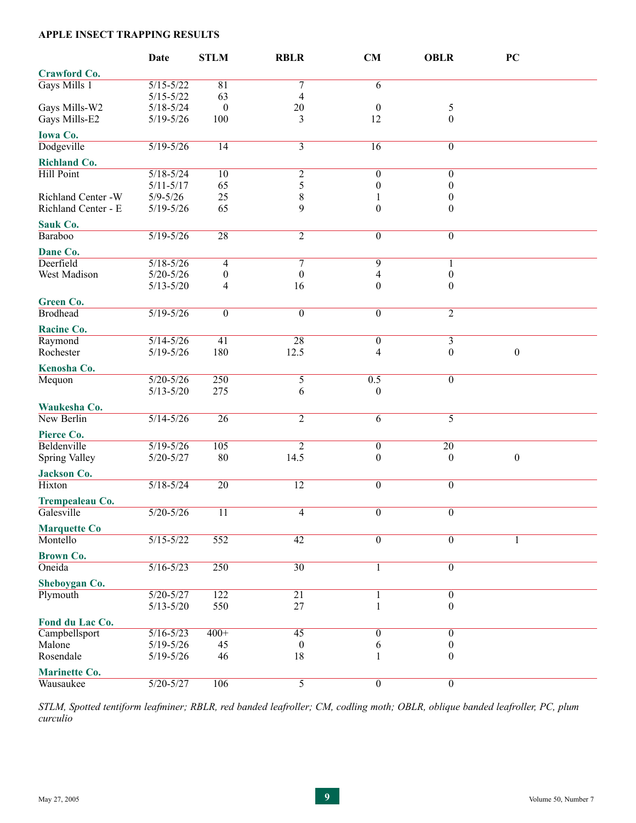#### **APPLE INSECT TRAPPING RESULTS**

|                      | <b>Date</b>                    | <b>STLM</b>      | <b>RBLR</b>      | <b>CM</b>             | <b>OBLR</b>                          | PC               |  |
|----------------------|--------------------------------|------------------|------------------|-----------------------|--------------------------------------|------------------|--|
| <b>Crawford Co.</b>  |                                |                  |                  |                       |                                      |                  |  |
| Gays Mills 1         | $5/15 - 5/22$                  | 81               | $\tau$           | 6                     |                                      |                  |  |
|                      | $5/15 - 5/22$                  | 63               | $\overline{4}$   |                       |                                      |                  |  |
| Gays Mills-W2        | $5/18 - 5/24$                  | $\boldsymbol{0}$ | $20\,$           | $\boldsymbol{0}$      | 5                                    |                  |  |
| Gays Mills-E2        | $5/19 - 5/26$                  | 100              | 3                | 12                    | $\theta$                             |                  |  |
| <b>Iowa Co.</b>      |                                |                  |                  |                       |                                      |                  |  |
| Dodgeville           | $5/19 - 5/26$                  | $\overline{14}$  | $\overline{3}$   | $\overline{16}$       | $\boldsymbol{0}$                     |                  |  |
|                      |                                |                  |                  |                       |                                      |                  |  |
| <b>Richland Co.</b>  |                                |                  |                  |                       |                                      |                  |  |
| <b>Hill Point</b>    | $5/18 - 5/24$                  | 10               | $\overline{2}$   | $\boldsymbol{0}$      | $\boldsymbol{0}$                     |                  |  |
| Richland Center -W   | $5/11 - 5/17$                  | 65<br>25         | 5<br>$\,$ 8 $\,$ | $\boldsymbol{0}$      | $\boldsymbol{0}$<br>$\boldsymbol{0}$ |                  |  |
| Richland Center - E  | $5/9 - 5/26$<br>$5/19 - 5/26$  | 65               | 9                | $\boldsymbol{0}$      | $\theta$                             |                  |  |
|                      |                                |                  |                  |                       |                                      |                  |  |
| Sauk Co.             |                                |                  |                  |                       |                                      |                  |  |
| <b>Baraboo</b>       | $5/19 - 5/26$                  | 28               | $\overline{2}$   | $\overline{0}$        | $\overline{0}$                       |                  |  |
| Dane Co.             |                                |                  |                  |                       |                                      |                  |  |
| Deerfield            | $5/18 - 5/26$                  | 4                | $\tau$           | 9                     | 1                                    |                  |  |
| West Madison         | $5/20 - 5/26$                  | $\boldsymbol{0}$ | $\mathbf{0}$     | 4                     | $\boldsymbol{0}$                     |                  |  |
|                      | $5/13 - 5/20$                  | 4                | 16               | $\boldsymbol{0}$      | $\boldsymbol{0}$                     |                  |  |
| Green Co.            |                                |                  |                  |                       |                                      |                  |  |
| <b>Brodhead</b>      | $5/19 - 5/26$                  | $\overline{0}$   | $\overline{0}$   | $\overline{0}$        | $\overline{2}$                       |                  |  |
|                      |                                |                  |                  |                       |                                      |                  |  |
| Racine Co.           |                                |                  |                  |                       |                                      |                  |  |
| Raymond<br>Rochester | $5/14 - 5/26$<br>$5/19 - 5/26$ | 41<br>180        | 28<br>12.5       | $\boldsymbol{0}$<br>4 | $\overline{3}$<br>$\boldsymbol{0}$   | $\boldsymbol{0}$ |  |
|                      |                                |                  |                  |                       |                                      |                  |  |
| Kenosha Co.          |                                |                  |                  |                       |                                      |                  |  |
| Mequon               | $5/20 - 5/26$                  | 250              | $\overline{5}$   | 0.5                   | $\boldsymbol{0}$                     |                  |  |
|                      | $5/13 - 5/20$                  | 275              | 6                | $\mathbf{0}$          |                                      |                  |  |
| Waukesha Co.         |                                |                  |                  |                       |                                      |                  |  |
| New Berlin           | $5/14 - 5/26$                  | $\overline{26}$  | $\overline{2}$   | $\overline{6}$        | $\overline{5}$                       |                  |  |
| Pierce Co.           |                                |                  |                  |                       |                                      |                  |  |
| Beldenville          | $5/19 - 5/26$                  | 105              | $\overline{2}$   | $\boldsymbol{0}$      | 20                                   |                  |  |
| Spring Valley        | $5/20 - 5/27$                  | 80               | 14.5             | $\boldsymbol{0}$      | $\boldsymbol{0}$                     | $\boldsymbol{0}$ |  |
| <b>Jackson Co.</b>   |                                |                  |                  |                       |                                      |                  |  |
| Hixton               | $5/18 - 5/24$                  | $\overline{20}$  | $\overline{12}$  | $\overline{0}$        | $\overline{0}$                       |                  |  |
|                      |                                |                  |                  |                       |                                      |                  |  |
| Trempealeau Co.      |                                |                  |                  |                       |                                      |                  |  |
| Galesville           | $5/20 - 5/26$                  | 11               | $\overline{4}$   | $\theta$              | $\theta$                             |                  |  |
| <b>Marquette Co</b>  |                                |                  |                  |                       |                                      |                  |  |
| Montello             | $5/15 - 5/22$                  | 552              | 42               | $\overline{0}$        | $\boldsymbol{0}$                     |                  |  |
| <b>Brown Co.</b>     |                                |                  |                  |                       |                                      |                  |  |
| Oneida               | $5/16 - 5/23$                  | 250              | $\overline{30}$  | $\mathbf{1}$          | $\overline{0}$                       |                  |  |
| Sheboygan Co.        |                                |                  |                  |                       |                                      |                  |  |
| Plymouth             | $5/20 - 5/27$                  | 122              | $\overline{21}$  | 1                     | $\boldsymbol{0}$                     |                  |  |
|                      | $5/13 - 5/20$                  | 550              | 27               |                       | $\boldsymbol{0}$                     |                  |  |
|                      |                                |                  |                  |                       |                                      |                  |  |
| Fond du Lac Co.      |                                |                  |                  |                       |                                      |                  |  |
| Campbellsport        | $5/16 - 5/23$                  | $400+$           | 45               | $\boldsymbol{0}$      | $\boldsymbol{0}$                     |                  |  |
| Malone               | $5/19 - 5/26$                  | 45               | $\boldsymbol{0}$ | 6                     | $\boldsymbol{0}$                     |                  |  |
| Rosendale            | $5/19 - 5/26$                  | 46               | 18               | 1                     | $\theta$                             |                  |  |
| <b>Marinette Co.</b> |                                |                  |                  |                       |                                      |                  |  |
| Wausaukee            | $5/20 - 5/27$                  | 106              | $\overline{5}$   | $\overline{0}$        | $\boldsymbol{0}$                     |                  |  |

*STLM, Spotted tentiform leafminer; RBLR, red banded leafroller; CM, codling moth; OBLR, oblique banded leafroller, PC, plum curculio*